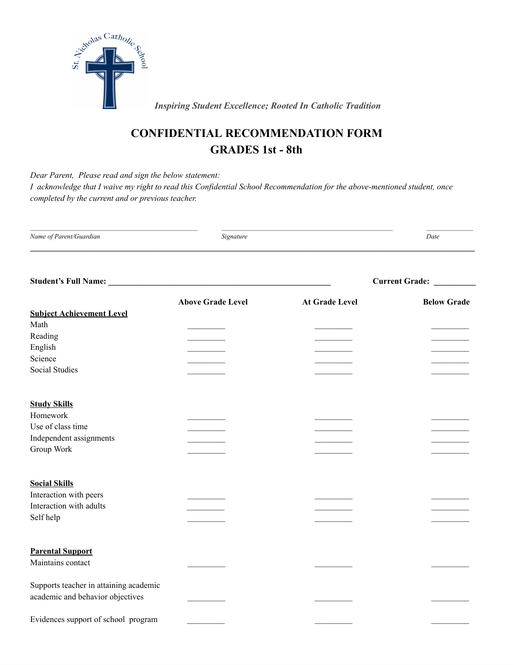

 *Inspiring Student Excellence; Rooted In Catholic Tradition*

## **CONFIDENTIAL RECOMMENDATION FORM GRADES 1st - 8th**

*Dear Parent, Please read and sign the below statement:*

I acknowledge that I waive my right to read this Confidential School Recommendation for the above-mentioned student, once *completed by the current and or previous teacher.*

| Name of Parent/Guardian | signature | Date |
|-------------------------|-----------|------|
|                         |           |      |

| <b>Student's Full Name:</b>            |                          | <b>Current Grade:</b> |                    |
|----------------------------------------|--------------------------|-----------------------|--------------------|
|                                        | <b>Above Grade Level</b> | <b>At Grade Level</b> | <b>Below Grade</b> |
| <b>Subject Achievement Level</b>       |                          |                       |                    |
| Math                                   |                          |                       |                    |
| Reading                                |                          |                       |                    |
| English                                |                          |                       |                    |
| Science                                |                          |                       |                    |
| <b>Social Studies</b>                  |                          |                       |                    |
| <b>Study Skills</b>                    |                          |                       |                    |
| Homework                               |                          |                       |                    |
| Use of class time                      |                          |                       |                    |
| Independent assignments                |                          |                       |                    |
| Group Work                             |                          |                       |                    |
| <b>Social Skills</b>                   |                          |                       |                    |
| Interaction with peers                 |                          |                       |                    |
| Interaction with adults                |                          |                       |                    |
| Self help                              |                          |                       |                    |
|                                        |                          |                       |                    |
| <b>Parental Support</b>                |                          |                       |                    |
| Maintains contact                      |                          |                       |                    |
| Supports teacher in attaining academic |                          |                       |                    |
| academic and behavior objectives       |                          |                       |                    |
| Evidences support of school program    |                          |                       |                    |